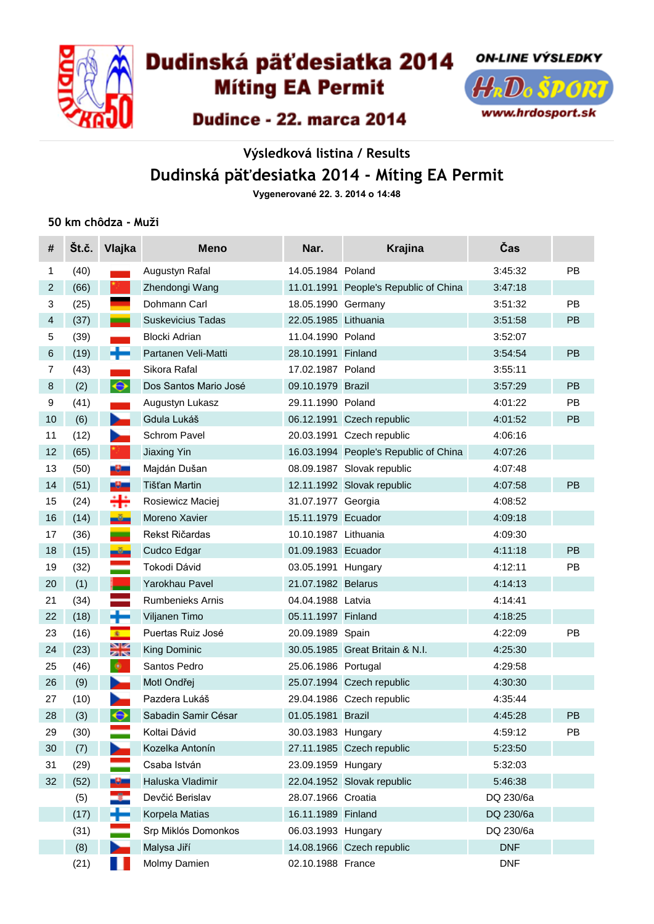

# Dudinská päťdesiatka 2014

**Miting EA Permit** 



# Dudince - 22. marca 2014

# **Výsledková listina / Results Dudinská päťdesiatka 2014 - Míting EA Permit**

**Vygenerované 22. 3. 2014 o 14:48**

#### **50 km chôdza - Muži**

| #              | Št.č. | Vlajka                                                                                                                                                                                                                         | <b>Meno</b>              | Nar.                 | <b>Krajina</b>                        | Čas        |    |
|----------------|-------|--------------------------------------------------------------------------------------------------------------------------------------------------------------------------------------------------------------------------------|--------------------------|----------------------|---------------------------------------|------------|----|
| $\mathbf{1}$   | (40)  |                                                                                                                                                                                                                                | Augustyn Rafal           | 14.05.1984 Poland    |                                       | 3:45:32    | PB |
| 2              | (66)  |                                                                                                                                                                                                                                | Zhendongi Wang           |                      | 11.01.1991 People's Republic of China | 3:47:18    |    |
| 3              | (25)  |                                                                                                                                                                                                                                | Dohmann Carl             | 18.05.1990 Germany   |                                       | 3:51:32    | PB |
| $\overline{4}$ | (37)  | =                                                                                                                                                                                                                              | <b>Suskevicius Tadas</b> | 22.05.1985 Lithuania |                                       | 3:51:58    | PB |
| 5              | (39)  |                                                                                                                                                                                                                                | <b>Blocki Adrian</b>     | 11.04.1990 Poland    |                                       | 3:52:07    |    |
| 6              | (19)  |                                                                                                                                                                                                                                | Partanen Veli-Matti      | 28.10.1991 Finland   |                                       | 3:54:54    | PB |
| 7              | (43)  |                                                                                                                                                                                                                                | Sikora Rafal             | 17.02.1987 Poland    |                                       | 3:55:11    |    |
| $\,8\,$        | (2)   | $\color{blue}\blacklozenge$                                                                                                                                                                                                    | Dos Santos Mario José    | 09.10.1979 Brazil    |                                       | 3:57:29    | PB |
| 9              | (41)  |                                                                                                                                                                                                                                | Augustyn Lukasz          | 29.11.1990 Poland    |                                       | 4:01:22    | PB |
| $10$           | (6)   | <b>Contract Contract</b>                                                                                                                                                                                                       | Gdula Lukáš              |                      | 06.12.1991 Czech republic             | 4:01:52    | PB |
| 11             | (12)  | r.                                                                                                                                                                                                                             | Schrom Pavel             |                      | 20.03.1991 Czech republic             | 4:06:16    |    |
| 12             | (65)  |                                                                                                                                                                                                                                | <b>Jiaxing Yin</b>       |                      | 16.03.1994 People's Republic of China | 4:07:26    |    |
| 13             | (50)  | -9-                                                                                                                                                                                                                            | Majdán Dušan             |                      | 08.09.1987 Slovak republic            | 4:07:48    |    |
| 14             | (51)  | -9-                                                                                                                                                                                                                            | Tišťan Martin            |                      | 12.11.1992 Slovak republic            | 4:07:58    | PB |
| 15             | (24)  | ╬                                                                                                                                                                                                                              | Rosiewicz Maciej         | 31.07.1977 Georgia   |                                       | 4:08:52    |    |
| 16             | (14)  | $-5-$                                                                                                                                                                                                                          | Moreno Xavier            | 15.11.1979 Ecuador   |                                       | 4:09:18    |    |
| 17             | (36)  | =                                                                                                                                                                                                                              | Rekst Ričardas           | 10.10.1987 Lithuania |                                       | 4:09:30    |    |
| 18             | (15)  | $-8-$                                                                                                                                                                                                                          | Cudco Edgar              | 01.09.1983 Ecuador   |                                       | 4:11:18    | PB |
| 19             | (32)  |                                                                                                                                                                                                                                | Tokodi Dávid             | 03.05.1991 Hungary   |                                       | 4:12:11    | PB |
| 20             | (1)   |                                                                                                                                                                                                                                | Yarokhau Pavel           | 21.07.1982 Belarus   |                                       | 4:14:13    |    |
| 21             | (34)  |                                                                                                                                                                                                                                | <b>Rumbenieks Arnis</b>  | 04.04.1988 Latvia    |                                       | 4:14:41    |    |
| 22             | (18)  | ╈                                                                                                                                                                                                                              | Viljanen Timo            | 05.11.1997 Finland   |                                       | 4:18:25    |    |
| 23             | (16)  | $8 -$                                                                                                                                                                                                                          | Puertas Ruiz José        | 20.09.1989 Spain     |                                       | 4:22:09    | PB |
| 24             | (23)  | $\frac{\mathbf{N}}{\mathbf{N}}$                                                                                                                                                                                                | King Dominic             |                      | 30.05.1985 Great Britain & N.I.       | 4:25:30    |    |
| 25             | (46)  | ۰                                                                                                                                                                                                                              | Santos Pedro             | 25.06.1986 Portugal  |                                       | 4:29:58    |    |
| 26             | (9)   | n and the second second second second second second second second second second second second second second second second second second second second second second second second second second second second second second se | Motl Ondřej              |                      | 25.07.1994 Czech republic             | 4:30:30    |    |
| 27             | (10)  |                                                                                                                                                                                                                                | Pazdera Lukáš            |                      | 29.04.1986 Czech republic             | 4:35:44    |    |
| 28             | (3)   | $\blacklozenge$                                                                                                                                                                                                                | Sabadin Samir César      | 01.05.1981 Brazil    |                                       | 4:45:28    | PB |
| 29             | (30)  |                                                                                                                                                                                                                                | Koltai Dávid             | 30.03.1983 Hungary   |                                       | 4:59:12    | PB |
| 30             | (7)   |                                                                                                                                                                                                                                | Kozelka Antonín          |                      | 27.11.1985 Czech republic             | 5:23:50    |    |
| 31             | (29)  |                                                                                                                                                                                                                                | Csaba István             | 23.09.1959 Hungary   |                                       | 5:32:03    |    |
| 32             | (52)  | -9-                                                                                                                                                                                                                            | Haluska Vladimir         |                      | 22.04.1952 Slovak republic            | 5:46:38    |    |
|                | (5)   | ÷                                                                                                                                                                                                                              | Devčić Berislav          | 28.07.1966 Croatia   |                                       | DQ 230/6a  |    |
|                | (17)  | ÷                                                                                                                                                                                                                              | Korpela Matias           | 16.11.1989 Finland   |                                       | DQ 230/6a  |    |
|                | (31)  |                                                                                                                                                                                                                                | Srp Miklós Domonkos      | 06.03.1993 Hungary   |                                       | DQ 230/6a  |    |
|                | (8)   |                                                                                                                                                                                                                                | Malysa Jiří              |                      | 14.08.1966 Czech republic             | <b>DNF</b> |    |
|                | (21)  | ٠                                                                                                                                                                                                                              | Molmy Damien             | 02.10.1988 France    |                                       | <b>DNF</b> |    |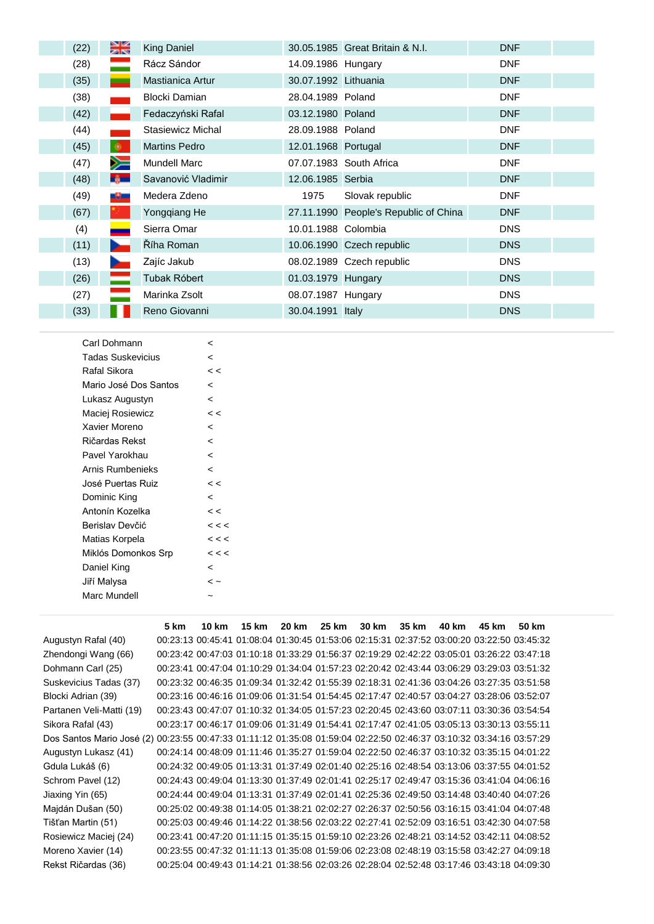| (22) | ≫i≪<br>2k      | <b>King Daniel</b>   |                      | 30.05.1985 Great Britain & N.I.       | <b>DNF</b> |  |
|------|----------------|----------------------|----------------------|---------------------------------------|------------|--|
| (28) | ═              | Rácz Sándor          | 14.09.1986 Hungary   |                                       | <b>DNF</b> |  |
| (35) |                | Mastianica Artur     | 30.07.1992 Lithuania |                                       | <b>DNF</b> |  |
| (38) |                | Blocki Damian        | 28.04.1989 Poland    |                                       | <b>DNF</b> |  |
| (42) |                | Fedaczyński Rafal    | 03.12.1980 Poland    |                                       | <b>DNF</b> |  |
| (44) |                | Stasiewicz Michal    | 28.09.1988 Poland    |                                       | <b>DNF</b> |  |
| (45) | <b>O</b>       | <b>Martins Pedro</b> | 12.01.1968 Portugal  |                                       | <b>DNF</b> |  |
| (47) | y≡             | Mundell Marc         |                      | 07.07.1983 South Africa               | <b>DNF</b> |  |
| (48) | <b>By Lang</b> | Savanović Vladimir   | 12.06.1985 Serbia    |                                       | <b>DNF</b> |  |
| (49) | -9-            | Medera Zdeno         | 1975                 | Slovak republic                       | <b>DNF</b> |  |
| (67) |                | Yongqiang He         |                      | 27.11.1990 People's Republic of China | <b>DNF</b> |  |
| (4)  |                | Sierra Omar          | 10.01.1988 Colombia  |                                       | <b>DNS</b> |  |
| (11) |                | Říha Roman           |                      | 10.06.1990 Czech republic             | <b>DNS</b> |  |
| (13) | <b>College</b> | Zajíc Jakub          |                      | 08.02.1989 Czech republic             | <b>DNS</b> |  |
| (26) | ═              | Tubak Róbert         | 01.03.1979 Hungary   |                                       | <b>DNS</b> |  |
| (27) |                | Marinka Zsolt        | 08.07.1987 Hungary   |                                       | <b>DNS</b> |  |
| (33) |                | Reno Giovanni        | 30.04.1991 Italy     |                                       | <b>DNS</b> |  |

| Carl Dohmann             | <                        |
|--------------------------|--------------------------|
| <b>Tadas Suskevicius</b> | <                        |
| Rafal Sikora             | $\lt$                    |
| Mario José Dos Santos    | <                        |
| Lukasz Augustyn          | <                        |
| Maciej Rosiewicz         | $\lt$                    |
| Xavier Moreno            | <                        |
| Ričardas Rekst           | $\overline{a}$           |
| Pavel Yarokhau           | $\overline{\phantom{a}}$ |
| Arnis Rumbenieks         | $\overline{\phantom{a}}$ |
| José Puertas Ruiz        | $\lt$                    |
| Dominic King             | $\overline{a}$           |
| Antonín Kozelka          | $\lt$                    |
| Berislav Devčić          | $\lt$ $\lt$              |
| Matias Korpela           | $\lt$ $\lt$ $\lt$        |
| Miklós Domonkos Srp      | $\lt$ $\lt$              |
| Daniel King              | <                        |
| Jiří Malysa              | $\sim$                   |
| Marc Mundell             |                          |

|                                                                                                                     | <b>5 km</b> | 10 km | 15 km 20 km 25 km |  | 30 km 35 km | 40 km | 45 km                                                                                     | 50 km |
|---------------------------------------------------------------------------------------------------------------------|-------------|-------|-------------------|--|-------------|-------|-------------------------------------------------------------------------------------------|-------|
| Augustyn Rafal (40)                                                                                                 |             |       |                   |  |             |       | 00:23:13 00:45:41 01:08:04 01:30:45 01:53:06 02:15:31 02:37:52 03:00:20 03:22:50 03:45:32 |       |
| Zhendongi Wang (66)                                                                                                 |             |       |                   |  |             |       | 00:23:42 00:47:03 01:10:18 01:33:29 01:56:37 02:19:29 02:42:22 03:05:01 03:26:22 03:47:18 |       |
| Dohmann Carl (25)                                                                                                   |             |       |                   |  |             |       | 00:23:41 00:47:04 01:10:29 01:34:04 01:57:23 02:20:42 02:43:44 03:06:29 03:29:03 03:51:32 |       |
| Suskevicius Tadas (37)                                                                                              |             |       |                   |  |             |       | 00:23:32 00:46:35 01:09:34 01:32:42 01:55:39 02:18:31 02:41:36 03:04:26 03:27:35 03:51:58 |       |
| Blocki Adrian (39)                                                                                                  |             |       |                   |  |             |       | 00:23:16 00:46:16 01:09:06 01:31:54 01:54:45 02:17:47 02:40:57 03:04:27 03:28:06 03:52:07 |       |
| Partanen Veli-Matti (19)                                                                                            |             |       |                   |  |             |       | 00:23:43 00:47:07 01:10:32 01:34:05 01:57:23 02:20:45 02:43:60 03:07:11 03:30:36 03:54:54 |       |
| Sikora Rafal (43)                                                                                                   |             |       |                   |  |             |       | 00:23:17 00:46:17 01:09:06 01:31:49 01:54:41 02:17:47 02:41:05 03:05:13 03:30:13 03:55:11 |       |
| Dos Santos Mario José (2) 00:23:55 00:47:33 01:11:12 01:35:08 01:59:04 02:22:50 02:46:37 03:10:32 03:34:16 03:57:29 |             |       |                   |  |             |       |                                                                                           |       |
| Augustyn Lukasz (41)                                                                                                |             |       |                   |  |             |       | 00:24:14 00:48:09 01:11:46 01:35:27 01:59:04 02:22:50 02:46:37 03:10:32 03:35:15 04:01:22 |       |
| Gdula Lukáš (6)                                                                                                     |             |       |                   |  |             |       | 00:24:32 00:49:05 01:13:31 01:37:49 02:01:40 02:25:16 02:48:54 03:13:06 03:37:55 04:01:52 |       |
| Schrom Pavel (12)                                                                                                   |             |       |                   |  |             |       | 00:24:43 00:49:04 01:13:30 01:37:49 02:01:41 02:25:17 02:49:47 03:15:36 03:41:04 04:06:16 |       |
| Jiaxing Yin (65)                                                                                                    |             |       |                   |  |             |       | 00:24:44 00:49:04 01:13:31 01:37:49 02:01:41 02:25:36 02:49:50 03:14:48 03:40:40 04:07:26 |       |
| Majdán Dušan (50)                                                                                                   |             |       |                   |  |             |       | 00:25:02 00:49:38 01:14:05 01:38:21 02:02:27 02:26:37 02:50:56 03:16:15 03:41:04 04:07:48 |       |
| Tišťan Martin (51)                                                                                                  |             |       |                   |  |             |       | 00:25:03 00:49:46 01:14:22 01:38:56 02:03:22 02:27:41 02:52:09 03:16:51 03:42:30 04:07:58 |       |
| Rosiewicz Maciej (24)                                                                                               |             |       |                   |  |             |       | 00:23:41 00:47:20 01:11:15 01:35:15 01:59:10 02:23:26 02:48:21 03:14:52 03:42:11 04:08:52 |       |
| Moreno Xavier (14)                                                                                                  |             |       |                   |  |             |       | 00:23:55 00:47:32 01:11:13 01:35:08 01:59:06 02:23:08 02:48:19 03:15:58 03:42:27 04:09:18 |       |
| Rekst Ričardas (36)                                                                                                 |             |       |                   |  |             |       | 00:25:04 00:49:43 01:14:21 01:38:56 02:03:26 02:28:04 02:52:48 03:17:46 03:43:18 04:09:30 |       |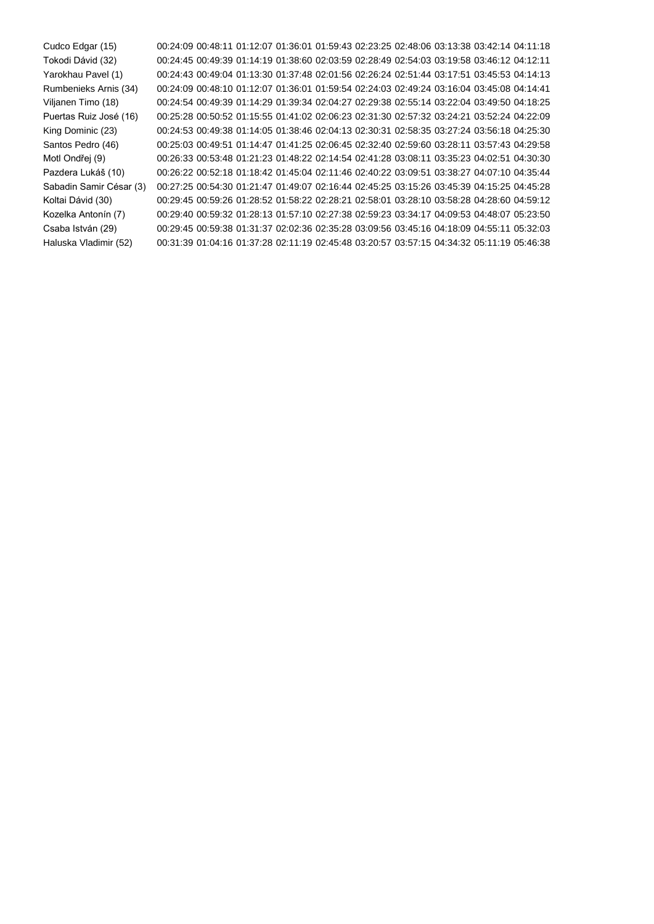Cudco Edgar (15) 00:24:09 00:48:11 01:12:07 01:36:01 01:59:43 02:23:25 02:48:06 03:13:38 03:42:14 04:11:18 Tokodi Dávid (32) 00:24:45 00:49:39 01:14:19 01:38:60 02:03:59 02:28:49 02:54:03 03:19:58 03:46:12 04:12:11 Yarokhau Pavel (1) 00:24:43 00:49:04 01:13:30 01:37:48 02:01:56 02:26:24 02:51:44 03:17:51 03:45:53 04:14:13 Rumbenieks Arnis (34) 00:24:09 00:48:10 01:12:07 01:36:01 01:59:54 02:24:03 02:49:24 03:16:04 03:45:08 04:14:41 Viljanen Timo (18) 00:24:54 00:49:39 01:14:29 01:39:34 02:04:27 02:29:38 02:55:14 03:22:04 03:49:50 04:18:25 Puertas Ruiz José (16) 00:25:28 00:50:52 01:15:55 01:41:02 02:06:23 02:31:30 02:57:32 03:24:21 03:52:24 04:22:09 King Dominic (23) 00:24:53 00:49:38 01:14:05 01:38:46 02:04:13 02:30:31 02:58:35 03:27:24 03:56:18 04:25:30 Santos Pedro (46) 00:25:03 00:49:51 01:14:47 01:41:25 02:06:45 02:32:40 02:59:60 03:28:11 03:57:43 04:29:58 Motl Ondřej (9) 00:26:33 00:53:48 01:21:23 01:48:22 02:14:54 02:41:28 03:08:11 03:35:23 04:02:51 04:30:30 Pazdera Lukáš (10) 00:26:22 00:52:18 01:18:42 01:45:04 02:11:46 02:40:22 03:09:51 03:38:27 04:07:10 04:35:44 Sabadin Samir César (3) 00:27:25 00:54:30 01:21:47 01:49:07 02:16:44 02:45:25 03:15:26 03:45:39 04:15:25 04:45:28 Koltai Dávid (30) 00:29:45 00:59:26 01:28:52 01:58:22 02:28:21 02:58:01 03:28:10 03:58:28 04:28:60 04:59:12 Kozelka Antonín (7) 00:29:40 00:59:32 01:28:13 01:57:10 02:27:38 02:59:23 03:34:17 04:09:53 04:48:07 05:23:50 Csaba István (29) 00:29:45 00:59:38 01:31:37 02:02:36 02:35:28 03:09:56 03:45:16 04:18:09 04:55:11 05:32:03 Haluska Vladimir (52) 00:31:39 01:04:16 01:37:28 02:11:19 02:45:48 03:20:57 03:57:15 04:34:32 05:11:19 05:46:38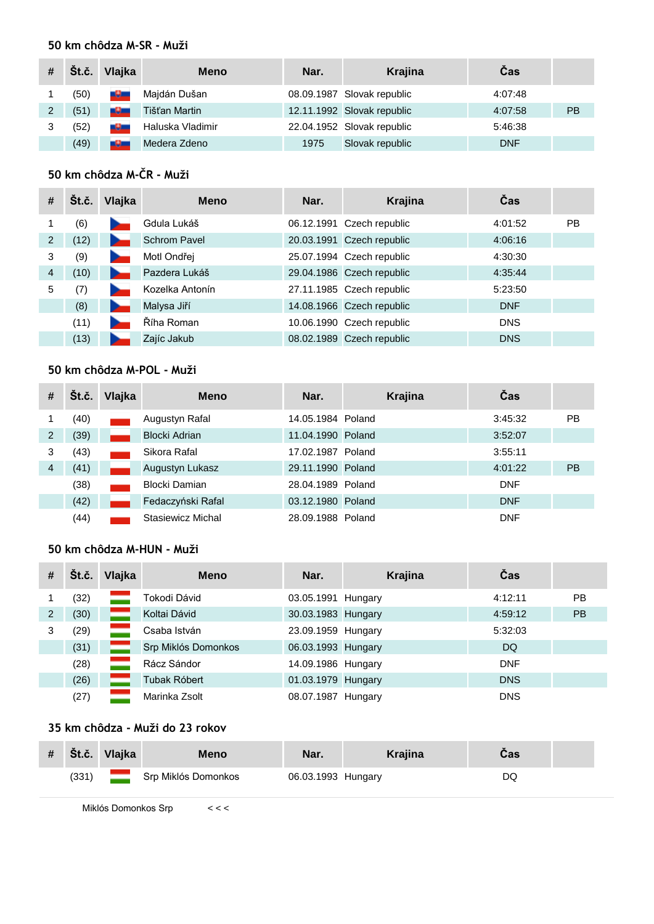## **50 km chôdza M-SR - Muži**

|   | Št.č. | Vlajka          | <b>Meno</b>      | Nar. | Krajina                    | Cas        |           |
|---|-------|-----------------|------------------|------|----------------------------|------------|-----------|
|   | (50)  | سلاما           | Majdán Dušan     |      | 08.09.1987 Slovak republic | 4:07:48    |           |
| 2 | (51)  | <b>THE REAL</b> | Tišťan Martin    |      | 12.11.1992 Slovak republic | 4:07:58    | <b>PB</b> |
| 3 | (52)  | <u> 1900 - </u> | Haluska Vladimir |      | 22.04.1952 Slovak republic | 5:46:38    |           |
|   | (49)  | ول              | Medera Zdeno     | 1975 | Slovak republic            | <b>DNF</b> |           |

# **50 km chôdza M-ČR - Muži**

| #              | Št.č. | Vlajka | <b>Meno</b>         | Nar. | Krajina                   | Čas        |           |
|----------------|-------|--------|---------------------|------|---------------------------|------------|-----------|
|                | (6)   |        | Gdula Lukáš         |      | 06.12.1991 Czech republic | 4:01:52    | <b>PB</b> |
| 2              | (12)  |        | <b>Schrom Pavel</b> |      | 20.03.1991 Czech republic | 4:06:16    |           |
| 3              | (9)   |        | Motl Ondřej         |      | 25.07.1994 Czech republic | 4:30:30    |           |
| $\overline{4}$ | (10)  |        | Pazdera Lukáš       |      | 29.04.1986 Czech republic | 4:35:44    |           |
| 5              | (7)   |        | Kozelka Antonín     |      | 27.11.1985 Czech republic | 5:23:50    |           |
|                | (8)   |        | Malysa Jiří         |      | 14.08.1966 Czech republic | <b>DNF</b> |           |
|                | (11)  |        | Říha Roman          |      | 10.06.1990 Czech republic | <b>DNS</b> |           |
|                | (13)  |        | Zajíc Jakub         |      | 08.02.1989 Czech republic | <b>DNS</b> |           |

# **50 km chôdza M-POL - Muži**

| #              | Št.č. | Vlajka | <b>Meno</b>       | Nar.              | Krajina | Čas        |           |
|----------------|-------|--------|-------------------|-------------------|---------|------------|-----------|
|                | (40)  |        | Augustyn Rafal    | 14.05.1984 Poland |         | 3:45:32    | PB        |
| 2              | (39)  |        | Blocki Adrian     | 11.04.1990 Poland |         | 3:52:07    |           |
| 3              | (43)  |        | Sikora Rafal      | 17.02.1987 Poland |         | 3:55:11    |           |
| $\overline{4}$ | (41)  |        | Augustyn Lukasz   | 29.11.1990 Poland |         | 4:01:22    | <b>PB</b> |
|                | (38)  |        | Blocki Damian     | 28.04.1989 Poland |         | <b>DNF</b> |           |
|                | (42)  |        | Fedaczyński Rafal | 03.12.1980 Poland |         | <b>DNF</b> |           |
|                | (44)  |        | Stasiewicz Michal | 28.09.1988 Poland |         | <b>DNF</b> |           |

# **50 km chôdza M-HUN - Muži**

| # | Št.č. | Vlajka | <b>Meno</b>         | Nar.               | Krajina | Čas        |           |
|---|-------|--------|---------------------|--------------------|---------|------------|-----------|
|   | (32)  |        | Tokodi Dávid        | 03.05.1991 Hungary |         | 4:12:11    | <b>PB</b> |
| 2 | (30)  |        | Koltai Dávid        | 30.03.1983 Hungary |         | 4:59:12    | <b>PB</b> |
| 3 | (29)  |        | Csaba István        | 23.09.1959 Hungary |         | 5:32:03    |           |
|   | (31)  |        | Srp Miklós Domonkos | 06.03.1993 Hungary |         | DQ.        |           |
|   | (28)  |        | Rácz Sándor         | 14.09.1986 Hungary |         | <b>DNF</b> |           |
|   | (26)  |        | Tubak Róbert        | 01.03.1979 Hungary |         | <b>DNS</b> |           |
|   | (27)  |        | Marinka Zsolt       | 08.07.1987 Hungary |         | <b>DNS</b> |           |

## **35 km chôdza - Muži do 23 rokov**

| # | $\check{\mathbf{S}}$ t.č. | Vlajka | <b>Meno</b>         | Nar.               | <b>Krajina</b> | Cas |  |
|---|---------------------------|--------|---------------------|--------------------|----------------|-----|--|
|   | (331)                     |        | Srp Miklós Domonkos | 06.03.1993 Hungary |                | DQ  |  |

Miklós Domonkos Srp < < <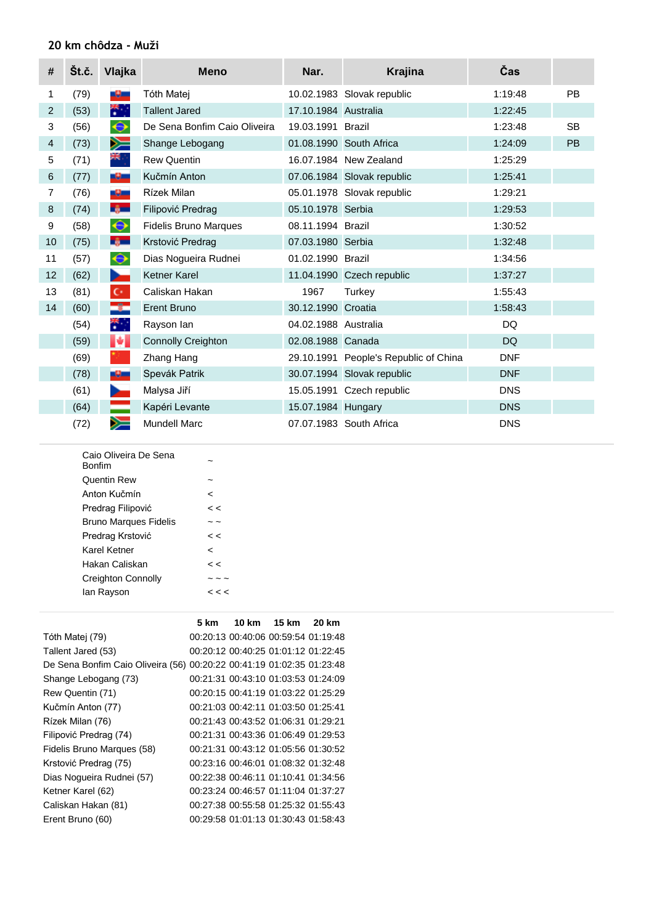## **20 km chôdza - Muži**

| #              | Št.č. | Vlajka                        | <b>Meno</b>                  | Nar.                 | <b>Krajina</b>                        | Čas        |           |
|----------------|-------|-------------------------------|------------------------------|----------------------|---------------------------------------|------------|-----------|
| 1              | (79)  | -9-                           | Tóth Matei                   |                      | 10.02.1983 Slovak republic            | 1:19:48    | <b>PB</b> |
| $\overline{2}$ | (53)  | 带。                            | <b>Tallent Jared</b>         | 17.10.1984 Australia |                                       | 1:22:45    |           |
| 3              | (56)  | $\color{black} \bm{\diamond}$ | De Sena Bonfim Caio Oliveira | 19.03.1991 Brazil    |                                       | 1:23:48    | <b>SB</b> |
| 4              | (73)  | ➣                             | Shange Lebogang              |                      | 01.08.1990 South Africa               | 1:24:09    | <b>PB</b> |
| 5              | (71)  | ≋ह⊹                           | <b>Rew Quentin</b>           |                      | 16.07.1984 New Zealand                | 1:25:29    |           |
| 6              | (77)  | -9-                           | Kučmín Anton                 |                      | 07.06.1984 Slovak republic            | 1:25:41    |           |
| 7              | (76)  | -9-                           | Rízek Milan                  |                      | 05.01.1978 Slovak republic            | 1:29:21    |           |
| 8              | (74)  | <b>By Lang</b>                | Filipović Predrag            | 05.10.1978 Serbia    |                                       | 1:29:53    |           |
| 9              | (58)  | $\color{blue}\blacklozenge$   | <b>Fidelis Bruno Marques</b> | 08.11.1994 Brazil    |                                       | 1:30:52    |           |
| 10             | (75)  | $-6$                          | Krstović Predrag             | 07.03.1980 Serbia    |                                       | 1:32:48    |           |
| 11             | (57)  | $\color{blue}\blacklozenge$   | Dias Nogueira Rudnei         | 01.02.1990 Brazil    |                                       | 1:34:56    |           |
| 12             | (62)  | ъ.                            | <b>Ketner Karel</b>          |                      | 11.04.1990 Czech republic             | 1:37:27    |           |
| 13             | (81)  | $\mathbb{C}^*$                | Caliskan Hakan               | 1967                 | Turkey                                | 1:55:43    |           |
| 14             | (60)  | كاد                           | <b>Erent Bruno</b>           | 30.12.1990 Croatia   |                                       | 1:58:43    |           |
|                | (54)  | ₩.,                           | Rayson lan                   | 04.02.1988 Australia |                                       | <b>DQ</b>  |           |
|                | (59)  | И                             | <b>Connolly Creighton</b>    | 02.08.1988 Canada    |                                       | <b>DQ</b>  |           |
|                | (69)  |                               | Zhang Hang                   |                      | 29.10.1991 People's Republic of China | <b>DNF</b> |           |
|                | (78)  | -9-                           | Spevák Patrik                |                      | 30.07.1994 Slovak republic            | <b>DNF</b> |           |
|                | (61)  | <b>Septiment</b>              | Malysa Jiří                  |                      | 15.05.1991 Czech republic             | <b>DNS</b> |           |
|                | (64)  |                               | Kapéri Levante               | 15.07.1984 Hungary   |                                       | <b>DNS</b> |           |
|                | (72)  | ➢                             | <b>Mundell Marc</b>          |                      | 07.07.1983 South Africa               | <b>DNS</b> |           |

| Caio Oliveira De Sena<br><b>Bonfim</b> |             |
|----------------------------------------|-------------|
| Quentin Rew                            |             |
| Anton Kučmín                           | <           |
| Predrag Filipović                      | < <         |
| <b>Bruno Marques Fidelis</b>           |             |
| Predrag Krstović                       | $\,<$       |
| Karel Ketner                           | <           |
| Hakan Caliskan                         | < <         |
| <b>Creighton Connolly</b>              |             |
| lan Rayson                             | $\lt$ $\lt$ |
|                                        |             |

|                                                                       | 5 km | 10 km 15 km                         | 20 km |
|-----------------------------------------------------------------------|------|-------------------------------------|-------|
| Tóth Matej (79)                                                       |      | 00:20:13 00:40:06 00:59:54 01:19:48 |       |
| Tallent Jared (53)                                                    |      | 00:20:12 00:40:25 01:01:12 01:22:45 |       |
| De Sena Bonfim Caio Oliveira (56) 00:20:22 00:41:19 01:02:35 01:23:48 |      |                                     |       |
| Shange Lebogang (73)                                                  |      | 00:21:31 00:43:10 01:03:53 01:24:09 |       |
| Rew Quentin (71)                                                      |      | 00:20:15 00:41:19 01:03:22 01:25:29 |       |
| Kučmín Anton (77)                                                     |      | 00:21:03 00:42:11 01:03:50 01:25:41 |       |
| Rízek Milan (76)                                                      |      | 00:21:43 00:43:52 01:06:31 01:29:21 |       |
| Filipović Predrag (74)                                                |      | 00:21:31 00:43:36 01:06:49 01:29:53 |       |
| Fidelis Bruno Marques (58)                                            |      | 00:21:31 00:43:12 01:05:56 01:30:52 |       |
| Krstović Predrag (75)                                                 |      | 00:23:16 00:46:01 01:08:32 01:32:48 |       |
| Dias Nogueira Rudnei (57)                                             |      | 00:22:38 00:46:11 01:10:41 01:34:56 |       |
| Ketner Karel (62)                                                     |      | 00:23:24 00:46:57 01:11:04 01:37:27 |       |
| Caliskan Hakan (81)                                                   |      | 00:27:38 00:55:58 01:25:32 01:55:43 |       |
| Erent Bruno (60)                                                      |      | 00:29:58 01:01:13 01:30:43 01:58:43 |       |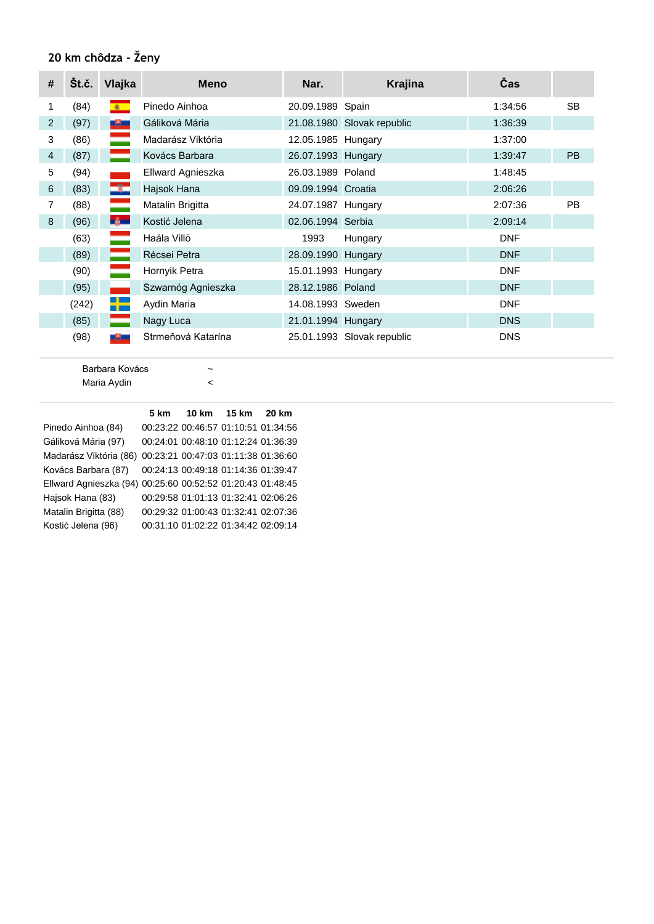# **20 km chôdza - Ženy**

| # | Št.č. | Vlajka         | <b>Meno</b>        | Nar.               | <b>Krajina</b>             | Čas        |           |
|---|-------|----------------|--------------------|--------------------|----------------------------|------------|-----------|
| 1 | (84)  | $\bullet$      | Pinedo Ainhoa      | 20.09.1989 Spain   |                            | 1:34:56    | <b>SB</b> |
| 2 | (97)  | -9-            | Gáliková Mária     |                    | 21.08.1980 Slovak republic | 1:36:39    |           |
| 3 | (86)  | =              | Madarász Viktória  | 12.05.1985 Hungary |                            | 1:37:00    |           |
| 4 | (87)  | ═              | Kovács Barbara     | 26.07.1993 Hungary |                            | 1:39:47    | <b>PB</b> |
| 5 | (94)  |                | Ellward Agnieszka  | 26.03.1989 Poland  |                            | 1:48:45    |           |
| 6 | (83)  | ÷              | Hajsok Hana        | 09.09.1994 Croatia |                            | 2:06:26    |           |
| 7 | (88)  | ═              | Matalin Brigitta   | 24.07.1987 Hungary |                            | 2:07:36    | <b>PB</b> |
| 8 | (96)  | <b>By Line</b> | Kostić Jelena      | 02.06.1994 Serbia  |                            | 2:09:14    |           |
|   | (63)  |                | Haála Villö        | 1993               | Hungary                    | <b>DNF</b> |           |
|   | (89)  |                | Récsei Petra       | 28.09.1990 Hungary |                            | <b>DNF</b> |           |
|   | (90)  | -              | Hornyik Petra      | 15.01.1993 Hungary |                            | <b>DNF</b> |           |
|   | (95)  |                | Szwarnóg Agnieszka | 28.12.1986 Poland  |                            | <b>DNF</b> |           |
|   | (242) | ┿              | Aydin Maria        | 14.08.1993 Sweden  |                            | <b>DNF</b> |           |
|   | (85)  |                | Nagy Luca          | 21.01.1994 Hungary |                            | <b>DNS</b> |           |
|   | (98)  | -9-            | Strmeňová Katarína |                    | 25.01.1993 Slovak republic | <b>DNS</b> |           |

Barbara Kovács  $\sim$ Maria Aydin <

|                                                            | 5 km |                                     | 20 km |
|------------------------------------------------------------|------|-------------------------------------|-------|
| Pinedo Ainhoa (84)                                         |      | 00:23:22 00:46:57 01:10:51 01:34:56 |       |
| Gáliková Mária (97)                                        |      | 00:24:01 00:48:10 01:12:24 01:36:39 |       |
| Madarász Viktória (86) 00:23:21 00:47:03 01:11:38 01:36:60 |      |                                     |       |
| Kovács Barbara (87)                                        |      | 00:24:13 00:49:18 01:14:36 01:39:47 |       |
| Ellward Agnieszka (94) 00:25:60 00:52:52 01:20:43 01:48:45 |      |                                     |       |
| Hajsok Hana (83)                                           |      | 00:29:58 01:01:13 01:32:41 02:06:26 |       |
| Matalin Brigitta (88)                                      |      | 00:29:32 01:00:43 01:32:41 02:07:36 |       |
| Kostić Jelena (96)                                         |      | 00:31:10 01:02:22 01:34:42 02:09:14 |       |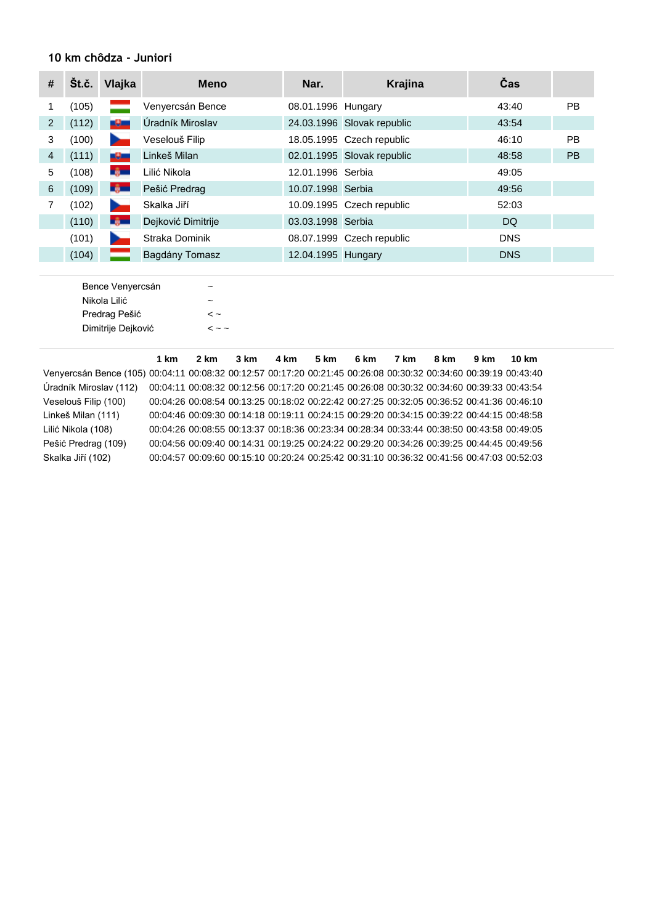### **10 km chôdza - Juniori**

| #              | Št.č. | Vlajka       | <b>Meno</b>        | Nar.               | <b>Krajina</b>             | Čas        |           |
|----------------|-------|--------------|--------------------|--------------------|----------------------------|------------|-----------|
|                | (105) |              | Venyercsán Bence   | 08.01.1996 Hungary |                            | 43:40      | <b>PB</b> |
| 2              | (112) | -91          | Úradník Miroslav   |                    | 24.03.1996 Slovak republic | 43:54      |           |
| 3              | (100) |              | Veselouš Filip     |                    | 18.05.1995 Czech republic  | 46:10      | <b>PB</b> |
| $\overline{4}$ | (111) | -9-          | Linkeš Milan       |                    | 02.01.1995 Slovak republic | 48:58      | <b>PB</b> |
| 5              | (108) | -6-          | Lilić Nikola       | 12.01.1996 Serbia  |                            | 49:05      |           |
| 6              | (109) | <b>Light</b> | Pešić Predrag      | 10.07.1998 Serbia  |                            | 49:56      |           |
|                | (102) |              | Skalka Jiří        |                    | 10.09.1995 Czech republic  | 52:03      |           |
|                | (110) | <b>Light</b> | Dejković Dimitrije | 03.03.1998 Serbia  |                            | DQ.        |           |
|                | (101) |              | Straka Dominik     |                    | 08.07.1999 Czech republic  | <b>DNS</b> |           |
|                | (104) |              | Bagdány Tomasz     | 12.04.1995 Hungary |                            | <b>DNS</b> |           |

| Bence Venyercsán   |                      |
|--------------------|----------------------|
| Nikola Lilić       |                      |
| Predrag Pešić      | $\sim$               |
| Dimitrije Dejković | $\sim$ $\sim$ $\sim$ |
|                    |                      |

|                                                                                                                  | 1 km                                                                                      | 2 km | 3 km | 4 km | $5 \text{ km}$                                                                            | 6 km | 7 km | 8 km | 9 km | 10 km |
|------------------------------------------------------------------------------------------------------------------|-------------------------------------------------------------------------------------------|------|------|------|-------------------------------------------------------------------------------------------|------|------|------|------|-------|
| Venyercsán Bence (105) 00:04:11 00:08:32 00:12:57 00:17:20 00:21:45 00:26:08 00:30:32 00:34:60 00:39:19 00:43:40 |                                                                                           |      |      |      |                                                                                           |      |      |      |      |       |
| Úradník Miroslav (112)                                                                                           | 00:04:11 00:08:32 00:12:56 00:17:20 00:21:45 00:26:08 00:30:32 00:34:60 00:39:33 00:43:54 |      |      |      |                                                                                           |      |      |      |      |       |
| Veselouš Filip (100)                                                                                             |                                                                                           |      |      |      | 00:04:26 00:08:54 00:13:25 00:18:02 00:22:42 00:27:25 00:32:05 00:36:52 00:41:36 00:46:10 |      |      |      |      |       |
| Linkeš Milan (111)                                                                                               |                                                                                           |      |      |      | 00:04:46 00:09:30 00:14:18 00:19:11 00:24:15 00:29:20 00:34:15 00:39:22 00:44:15 00:48:58 |      |      |      |      |       |
| Lilić Nikola (108)                                                                                               |                                                                                           |      |      |      | 00:04:26 00:08:55 00:13:37 00:18:36 00:23:34 00:28:34 00:33:44 00:38:50 00:43:58 00:49:05 |      |      |      |      |       |
| Pešić Predrag (109)                                                                                              |                                                                                           |      |      |      | 00:04:56 00:09:40 00:14:31 00:19:25 00:24:22 00:29:20 00:34:26 00:39:25 00:44:45 00:49:56 |      |      |      |      |       |
| Skalka Jiří (102)                                                                                                |                                                                                           |      |      |      | 00:04:57 00:09:60 00:15:10 00:20:24 00:25:42 00:31:10 00:36:32 00:41:56 00:47:03 00:52:03 |      |      |      |      |       |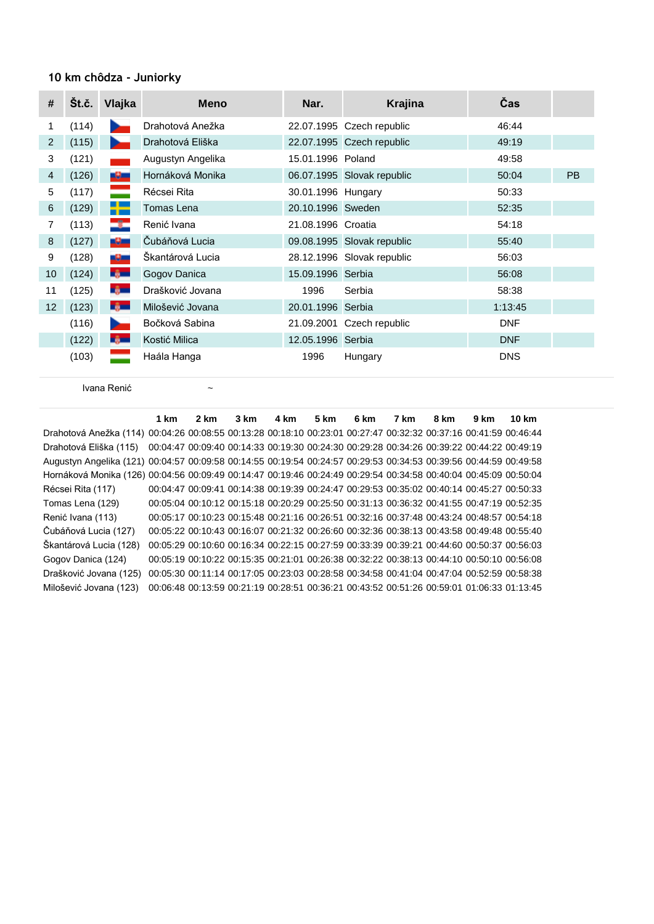#### **10 km chôdza - Juniorky**

| #  | Št.č. | Vlajka         | <b>Meno</b>       | Nar.               | <b>Krajina</b>             | Čas        |           |
|----|-------|----------------|-------------------|--------------------|----------------------------|------------|-----------|
| 1  | (114) | سر             | Drahotová Anežka  |                    | 22.07.1995 Czech republic  | 46:44      |           |
| 2  | (115) | .,             | Drahotová Eliška  |                    | 22.07.1995 Czech republic  | 49:19      |           |
| 3  | (121) |                | Augustyn Angelika | 15.01.1996 Poland  |                            | 49:58      |           |
| 4  | (126) | -9-            | Hornáková Monika  |                    | 06.07.1995 Slovak republic | 50:04      | <b>PB</b> |
| 5  | (117) | ═              | Récsei Rita       | 30.01.1996 Hungary |                            | 50:33      |           |
| 6  | (129) | ۳.             | Tomas Lena        | 20.10.1996 Sweden  |                            | 52:35      |           |
| 7  | (113) | $\rightarrow$  | Renić Ivana       | 21.08.1996 Croatia |                            | 54:18      |           |
| 8  | (127) | -9-            | Čubáňová Lucia    |                    | 09.08.1995 Slovak republic | 55:40      |           |
| 9  | (128) | سلال           | Škantárová Lucia  |                    | 28.12.1996 Slovak republic | 56:03      |           |
| 10 | (124) | <b>By Lang</b> | Gogov Danica      | 15.09.1996 Serbia  |                            | 56:08      |           |
| 11 | (125) | -ê—            | Drašković Jovana  | 1996               | Serbia                     | 58:38      |           |
| 12 | (123) | <b>By Lang</b> | Milošević Jovana  | 20.01.1996 Serbia  |                            | 1:13:45    |           |
|    | (116) | n an           | Bočková Sabina    |                    | 21.09.2001 Czech republic  | <b>DNF</b> |           |
|    | (122) | <b>By Line</b> | Kostić Milica     | 12.05.1996 Serbia  |                            | <b>DNF</b> |           |
|    | (103) |                | Haála Hanga       | 1996               | Hungary                    | <b>DNS</b> |           |

Ivana Renić ~

**1 km 2 km 3 km 4 km 5 km 6 km 7 km 8 km 9 km 10 km** Drahotová Anežka (114) 00:04:26 00:08:55 00:13:28 00:18:10 00:23:01 00:27:47 00:32:32 00:37:16 00:41:59 00:46:44 Drahotová Eliška (115) 00:04:47 00:09:40 00:14:33 00:19:30 00:24:30 00:29:28 00:34:26 00:39:22 00:44:22 00:49:19 Augustyn Angelika (121) 00:04:57 00:09:58 00:14:55 00:19:54 00:24:57 00:29:53 00:34:53 00:39:56 00:44:59 00:49:58 Hornáková Monika (126) 00:04:56 00:09:49 00:14:47 00:19:46 00:24:49 00:29:54 00:34:58 00:40:04 00:45:09 00:50:04 Récsei Rita (117) 00:04:47 00:09:41 00:14:38 00:19:39 00:24:47 00:29:53 00:35:02 00:40:14 00:45:27 00:50:33 Tomas Lena (129) 00:05:04 00:10:12 00:15:18 00:20:29 00:25:50 00:31:13 00:36:32 00:41:55 00:47:19 00:52:35 Renić Ivana (113) 00:05:17 00:10:23 00:15:48 00:21:16 00:26:51 00:32:16 00:37:48 00:43:24 00:48:57 00:54:18 Čubáňová Lucia (127) 00:05:22 00:10:43 00:16:07 00:21:32 00:26:60 00:32:36 00:38:13 00:43:58 00:49:48 00:55:40 Škantárová Lucia (128) 00:05:29 00:10:60 00:16:34 00:22:15 00:27:59 00:33:39 00:39:21 00:44:60 00:50:37 00:56:03 Gogov Danica (124) 00:05:19 00:10:22 00:15:35 00:21:01 00:26:38 00:32:22 00:38:13 00:44:10 00:50:10 00:56:08 Drašković Jovana (125) 00:05:30 00:11:14 00:17:05 00:23:03 00:28:58 00:34:58 00:41:04 00:47:04 00:52:59 00:58:38 Milošević Jovana (123) 00:06:48 00:13:59 00:21:19 00:28:51 00:36:21 00:43:52 00:51:26 00:59:01 01:06:33 01:13:45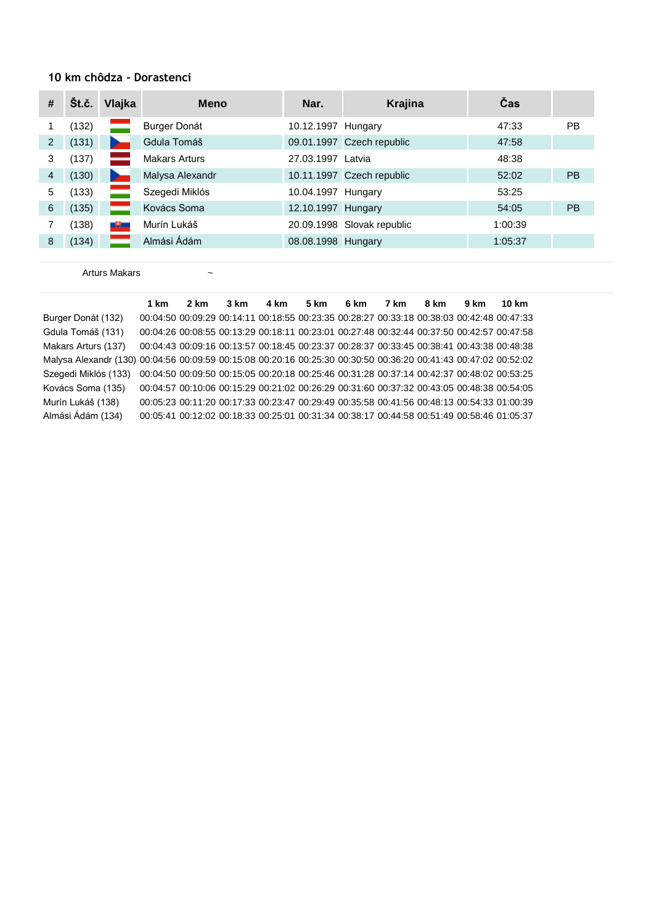#### **10 km chôdza - Dorastenci**

| # | Št.č. | Vlajka | <b>Meno</b>          | Nar.               | <b>Krajina</b>             | Čas     |           |
|---|-------|--------|----------------------|--------------------|----------------------------|---------|-----------|
|   | (132) |        | Burger Donát         | 10.12.1997 Hungary |                            | 47:33   | <b>PB</b> |
| 2 | (131) |        | Gdula Tomáš          |                    | 09.01.1997 Czech republic  | 47:58   |           |
| 3 | (137) |        | <b>Makars Arturs</b> | 27.03.1997 Latvia  |                            | 48:38   |           |
| 4 | (130) |        | Malysa Alexandr      |                    | 10.11.1997 Czech republic  | 52:02   | <b>PB</b> |
| 5 | (133) |        | Szegedi Miklós       | 10.04.1997 Hungary |                            | 53:25   |           |
| 6 | (135) |        | Kovács Soma          | 12.10.1997 Hungary |                            | 54:05   | <b>PB</b> |
|   | (138) | -9-    | Murín Lukáš          |                    | 20.09.1998 Slovak republic | 1:00:39 |           |
| 8 | (134) |        | Almási Ádám          | 08.08.1998 Hungary |                            | 1:05:37 |           |

Arturs Makars  $\sim$ 

**1 km 2 km 3 km 4 km 5 km 6 km 7 km 8 km 9 km 10 km** Burger Donát (132) 00:04:50 00:09:29 00:14:11 00:18:55 00:23:35 00:28:27 00:33:18 00:38:03 00:42:48 00:47:33 Gdula Tomáš (131) 00:04:26 00:08:55 00:13:29 00:18:11 00:23:01 00:27:48 00:32:44 00:37:50 00:42:57 00:47:58 Makars Arturs (137) 00:04:43 00:09:16 00:13:57 00:18:45 00:23:37 00:28:37 00:33:45 00:38:41 00:43:38 00:48:38 Malysa Alexandr (130) 00:04:56 00:09:59 00:15:08 00:20:16 00:25:30 00:30:50 00:36:20 00:41:43 00:47:02 00:52:02 Szegedi Miklós (133) 00:04:50 00:09:50 00:15:05 00:20:18 00:25:46 00:31:28 00:37:14 00:42:37 00:48:02 00:53:25 Kovács Soma (135) 00:04:57 00:10:06 00:15:29 00:21:02 00:26:29 00:31:60 00:37:32 00:43:05 00:48:38 00:54:05 Murín Lukáš (138) 00:05:23 00:11:20 00:17:33 00:23:47 00:29:49 00:35:58 00:41:56 00:48:13 00:54:33 01:00:39 Almási Ádám (134) 00:05:41 00:12:02 00:18:33 00:25:01 00:31:34 00:38:17 00:44:58 00:51:49 00:58:46 01:05:37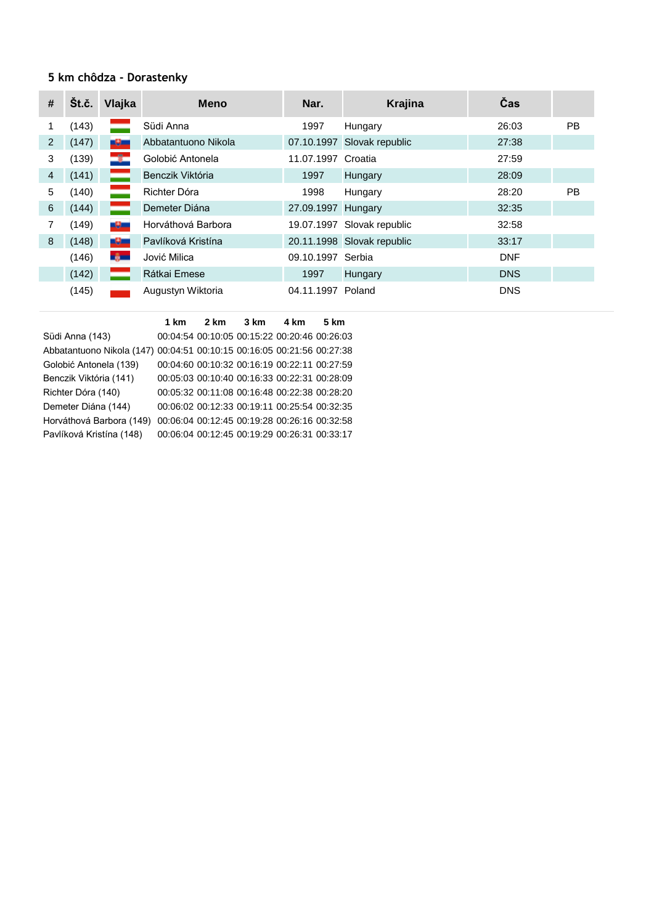# **5 km chôdza - Dorastenky**

| $\#$           | Št.č. | Vlajka         | <b>Meno</b>         | Nar.               | Krajina                    | <b>Čas</b> |           |
|----------------|-------|----------------|---------------------|--------------------|----------------------------|------------|-----------|
|                | (143) |                | Südi Anna           | 1997               | Hungary                    | 26:03      | PB.       |
| 2              | (147) | -9-            | Abbatantuono Nikola | 07.10.1997         | Slovak republic            | 27:38      |           |
| 3              | (139) | ÷              | Golobić Antonela    | 11.07.1997         | Croatia                    | 27:59      |           |
| $\overline{4}$ | (141) |                | Benczik Viktória    | 1997               | Hungary                    | 28:09      |           |
| 5              | (140) |                | Richter Dóra        | 1998               | Hungary                    | 28:20      | <b>PB</b> |
| 6              | (144) |                | Demeter Diána       | 27.09.1997 Hungary |                            | 32:35      |           |
| 7              | (149) | -9-            | Horváthová Barbora  | 19.07.1997         | Slovak republic            | 32:58      |           |
| 8              | (148) | -9-            | Pavlíková Kristína  |                    | 20.11.1998 Slovak republic | 33:17      |           |
|                | (146) | <b>By Line</b> | Jović Milica        | 09.10.1997         | Serbia                     | <b>DNF</b> |           |
|                | (142) |                | Rátkai Emese        | 1997               | Hungary                    | <b>DNS</b> |           |
|                | (145) |                | Augustyn Wiktoria   | 04.11.1997         | Poland                     | <b>DNS</b> |           |

|                                                                        | 1 km | 2 km | $3 \text{ km}$                               | 4 km | 5 km |
|------------------------------------------------------------------------|------|------|----------------------------------------------|------|------|
| Südi Anna (143)                                                        |      |      | 00:04:54 00:10:05 00:15:22 00:20:46 00:26:03 |      |      |
| Abbatantuono Nikola (147) 00:04:51 00:10:15 00:16:05 00:21:56 00:27:38 |      |      |                                              |      |      |
| Golobić Antonela (139)                                                 |      |      | 00:04:60 00:10:32 00:16:19 00:22:11 00:27:59 |      |      |
| Benczik Viktória (141)                                                 |      |      | 00:05:03 00:10:40 00:16:33 00:22:31 00:28:09 |      |      |
| Richter Dóra (140)                                                     |      |      | 00:05:32 00:11:08 00:16:48 00:22:38 00:28:20 |      |      |
| Demeter Diána (144)                                                    |      |      | 00:06:02 00:12:33 00:19:11 00:25:54 00:32:35 |      |      |
| Horváthová Barbora (149)                                               |      |      | 00:06:04 00:12:45 00:19:28 00:26:16 00:32:58 |      |      |
| Pavlíková Kristína (148)                                               |      |      | 00:06:04 00:12:45 00:19:29 00:26:31 00:33:17 |      |      |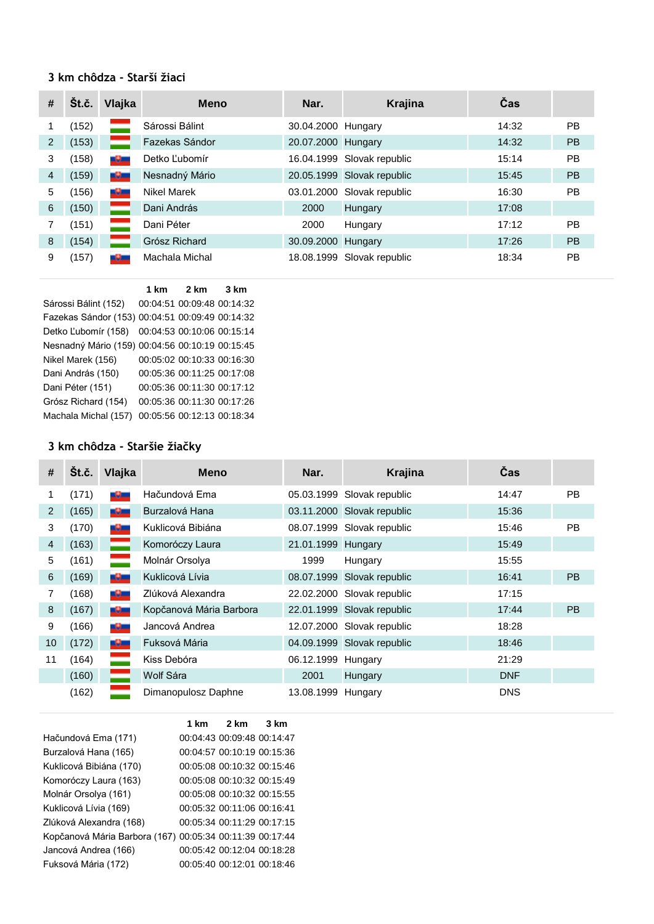#### **3 km chôdza - Starší žiaci**

| # | Št.č. | Vlajka | <b>Meno</b>    | Nar.               | <b>Krajina</b>             | Čas   |           |
|---|-------|--------|----------------|--------------------|----------------------------|-------|-----------|
|   | (152) |        | Sárossi Bálint | 30.04.2000 Hungary |                            | 14:32 | <b>PB</b> |
| 2 | (153) |        | Fazekas Sándor | 20.07.2000 Hungary |                            | 14:32 | <b>PB</b> |
| 3 | (158) | -9-    | Detko Ľubomír  |                    | 16.04.1999 Slovak republic | 15:14 | <b>PB</b> |
| 4 | (159) | -9-    | Nesnadný Mário |                    | 20.05.1999 Slovak republic | 15:45 | <b>PB</b> |
| 5 | (156) | -9-    | Nikel Marek    |                    | 03.01.2000 Slovak republic | 16:30 | <b>PB</b> |
| 6 | (150) |        | Dani András    | 2000               | Hungary                    | 17:08 |           |
|   | (151) |        | Dani Péter     | 2000               | Hungary                    | 17:12 | <b>PB</b> |
| 8 | (154) |        | Grósz Richard  | 30.09.2000         | Hungary                    | 17:26 | <b>PB</b> |
| 9 | (157) | -95    | Machala Michal |                    | 18.08.1999 Slovak republic | 18:34 | <b>PB</b> |

**1 km 2 km 3 km** Sárossi Bálint (152) 00:04:51 00:09:48 00:14:32 Fazekas Sándor (153) 00:04:51 00:09:49 00:14:32 Detko Ľubomír (158) 00:04:53 00:10:06 00:15:14 Nesnadný Mário (159) 00:04:56 00:10:19 00:15:45 Nikel Marek (156) 00:05:02 00:10:33 00:16:30 Dani András (150) 00:05:36 00:11:25 00:17:08 Dani Péter (151) 00:05:36 00:11:30 00:17:12 Grósz Richard (154) 00:05:36 00:11:30 00:17:26 Machala Michal (157) 00:05:56 00:12:13 00:18:34

#### **3 km chôdza - Staršie žiačky**

| #              | Št.č. | Vlajka | <b>Meno</b>             | Nar.               | Krajina                    | Čas        |           |
|----------------|-------|--------|-------------------------|--------------------|----------------------------|------------|-----------|
|                | (171) | ساك    | Hačundová Ema           |                    | 05.03.1999 Slovak republic | 14:47      | <b>PB</b> |
| 2              | (165) | -9-    | Burzalová Hana          |                    | 03.11.2000 Slovak republic | 15:36      |           |
| 3              | (170) | -9-    | Kuklicová Bibiána       |                    | 08.07.1999 Slovak republic | 15:46      | <b>PB</b> |
| $\overline{4}$ | (163) |        | Komoróczy Laura         | 21.01.1999 Hungary |                            | 15:49      |           |
| 5              | (161) |        | Molnár Orsolya          | 1999               | Hungary                    | 15:55      |           |
| 6              | (169) | -9-    | Kuklicová Lívia         |                    | 08.07.1999 Slovak republic | 16:41      | <b>PB</b> |
| 7              | (168) | -9-    | Zlúková Alexandra       |                    | 22.02.2000 Slovak republic | 17:15      |           |
| 8              | (167) | -9-    | Kopčanová Mária Barbora |                    | 22.01.1999 Slovak republic | 17:44      | <b>PB</b> |
| 9              | (166) | -9-    | Jancová Andrea          |                    | 12.07.2000 Slovak republic | 18:28      |           |
| 10             | (172) | -9-    | Fuksová Mária           |                    | 04.09.1999 Slovak republic | 18:46      |           |
| 11             | (164) |        | Kiss Debóra             | 06.12.1999 Hungary |                            | 21:29      |           |
|                | (160) | _      | Wolf Sára               | 2001               | Hungary                    | <b>DNF</b> |           |
|                | (162) |        | Dimanopulosz Daphne     | 13.08.1999         | Hungary                    | <b>DNS</b> |           |

|                                                          | 1 km | 2 km                       | $3 \text{ km}$ |
|----------------------------------------------------------|------|----------------------------|----------------|
| Hačundová Ema (171)                                      |      | 00:04:43 00:09:48 00:14:47 |                |
| Burzalová Hana (165)                                     |      | 00:04:57 00:10:19 00:15:36 |                |
| Kuklicová Bibiána (170)                                  |      | 00:05:08 00:10:32 00:15:46 |                |
| Komoróczy Laura (163)                                    |      | 00:05:08 00:10:32 00:15:49 |                |
| Molnár Orsolya (161)                                     |      | 00:05:08 00:10:32 00:15:55 |                |
| Kuklicová Lívia (169)                                    |      | 00:05:32 00:11:06 00:16:41 |                |
| Zlúková Alexandra (168)                                  |      | 00:05:34 00:11:29 00:17:15 |                |
| Kopčanová Mária Barbora (167) 00:05:34 00:11:39 00:17:44 |      |                            |                |
| Jancová Andrea (166)                                     |      | 00:05:42 00:12:04 00:18:28 |                |
| Fuksová Mária (172)                                      |      | 00:05:40 00:12:01 00:18:46 |                |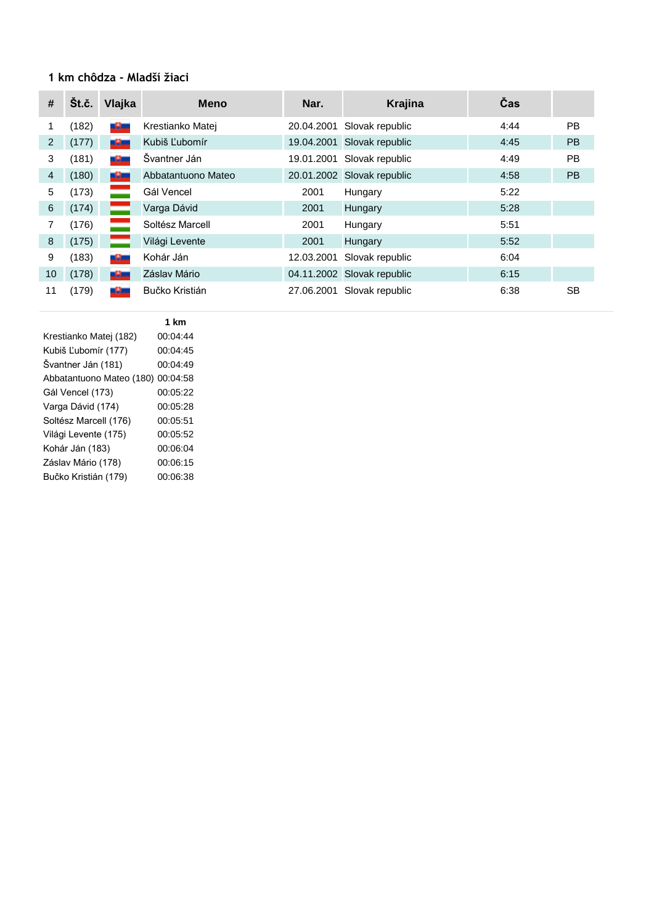#### **1 km chôdza - Mladší žiaci**

| #              | Št.č. | Vlajka | <b>Meno</b>        | Nar.       | Krajina                    | Čas  |           |
|----------------|-------|--------|--------------------|------------|----------------------------|------|-----------|
|                | (182) | -9-    | Krestianko Matej   | 20.04.2001 | Slovak republic            | 4:44 | PB.       |
| 2              | (177) | -9-    | Kubiš Ľubomír      |            | 19.04.2001 Slovak republic | 4:45 | PB        |
| 3              | (181) | -9-    | Švantner Ján       | 19.01.2001 | Slovak republic            | 4:49 | <b>PB</b> |
| $\overline{4}$ | (180) | ساك    | Abbatantuono Mateo |            | 20.01.2002 Slovak republic | 4:58 | <b>PB</b> |
| 5              | (173) |        | Gál Vencel         | 2001       | Hungary                    | 5:22 |           |
| 6              | (174) |        | Varga Dávid        | 2001       | Hungary                    | 5:28 |           |
| 7              | (176) |        | Soltész Marcell    | 2001       | Hungary                    | 5:51 |           |
| 8              | (175) |        | Világi Levente     | 2001       | Hungary                    | 5:52 |           |
| 9              | (183) | -9-    | Kohár Ján          | 12.03.2001 | Slovak republic            | 6:04 |           |
| 10             | (178) | -9-    | Záslav Mário       |            | 04.11.2002 Slovak republic | 6:15 |           |
| 11             | (179) | -9-    | Bučko Kristián     | 27.06.2001 | Slovak republic            | 6:38 | <b>SB</b> |

|                          | 1 km     |
|--------------------------|----------|
| Krestianko Matej (182)   | 00:04:44 |
| Kubiš Ľubomír (177)      | 00:04:45 |
| Švantner Ján (181)       | 00:04:49 |
| Abbatantuono Mateo (180) | 00:04:58 |
| Gál Vencel (173)         | 00:05:22 |
| Varga Dávid (174)        | 00:05:28 |
| Soltész Marcell (176)    | 00:05:51 |
| Világi Levente (175)     | 00:05:52 |
| Kohár Ján (183)          | 00:06:04 |
| Záslav Mário (178)       | 00:06:15 |
| Bučko Kristián (179)     | 00:06:38 |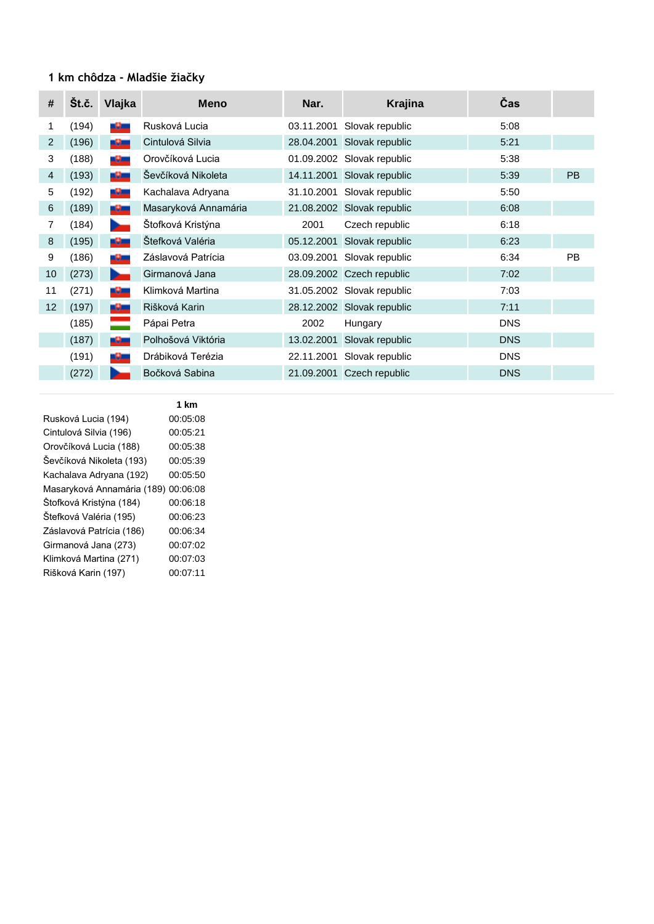# **1 km chôdza - Mladšie žiačky**

| #  | Št.č. | Vlajka        | <b>Meno</b>          | Nar.       | <b>Krajina</b>             | Čas        |           |
|----|-------|---------------|----------------------|------------|----------------------------|------------|-----------|
| 1  | (194) | سائله         | Rusková Lucia        | 03.11.2001 | Slovak republic            | 5:08       |           |
| 2  | (196) | -9-           | Cintulová Silvia     | 28.04.2001 | Slovak republic            | 5:21       |           |
| 3  | (188) | -9-           | Orovčíková Lucia     |            | 01.09.2002 Slovak republic | 5:38       |           |
| 4  | (193) | -9-           | Ševčíková Nikoleta   | 14.11.2001 | Slovak republic            | 5:39       | <b>PB</b> |
| 5  | (192) | -9-           | Kachalava Adryana    | 31.10.2001 | Slovak republic            | 5:50       |           |
| 6  | (189) | -9-           | Masaryková Annamária | 21.08.2002 | Slovak republic            | 6:08       |           |
| 7  | (184) | n.            | Štofková Kristýna    | 2001       | Czech republic             | 6:18       |           |
| 8  | (195) | <u> 19 mi</u> | Štefková Valéria     | 05.12.2001 | Slovak republic            | 6:23       |           |
| 9  | (186) | -9-           | Záslavová Patrícia   | 03.09.2001 | Slovak republic            | 6:34       | <b>PB</b> |
| 10 | (273) | в.            | Girmanová Jana       |            | 28.09.2002 Czech republic  | 7:02       |           |
| 11 | (271) | -9-           | Klimková Martina     |            | 31.05.2002 Slovak republic | 7:03       |           |
| 12 | (197) | -9-           | Rišková Karin        |            | 28.12.2002 Slovak republic | 7:11       |           |
|    | (185) |               | Pápai Petra          | 2002       | Hungary                    | <b>DNS</b> |           |
|    | (187) | -9-           | Polhošová Viktória   | 13.02.2001 | Slovak republic            | <b>DNS</b> |           |
|    | (191) | -9-           | Drábiková Terézia    | 22.11.2001 | Slovak republic            | <b>DNS</b> |           |
|    | (272) |               | Bočková Sabina       | 21.09.2001 | Czech republic             | <b>DNS</b> |           |

|                            | 1 km     |
|----------------------------|----------|
| Rusková Lucia (194)        | 00:05:08 |
| Cintulová Silvia (196)     | 00:05:21 |
| Orovčíková Lucia (188)     | 00:05:38 |
| Ševčíková Nikoleta (193)   | 00:05:39 |
| Kachalava Adryana (192)    | 00:05:50 |
| Masaryková Annamária (189) | 00:06:08 |
| Štofková Kristýna (184)    | 00:06:18 |
| Štefková Valéria (195)     | 00:06:23 |
| Záslavová Patrícia (186)   | 00:06:34 |
| Girmanová Jana (273)       | 00:07:02 |
| Klimková Martina (271)     | 00:07:03 |
| Rišková Karin (197)        | 00:07:11 |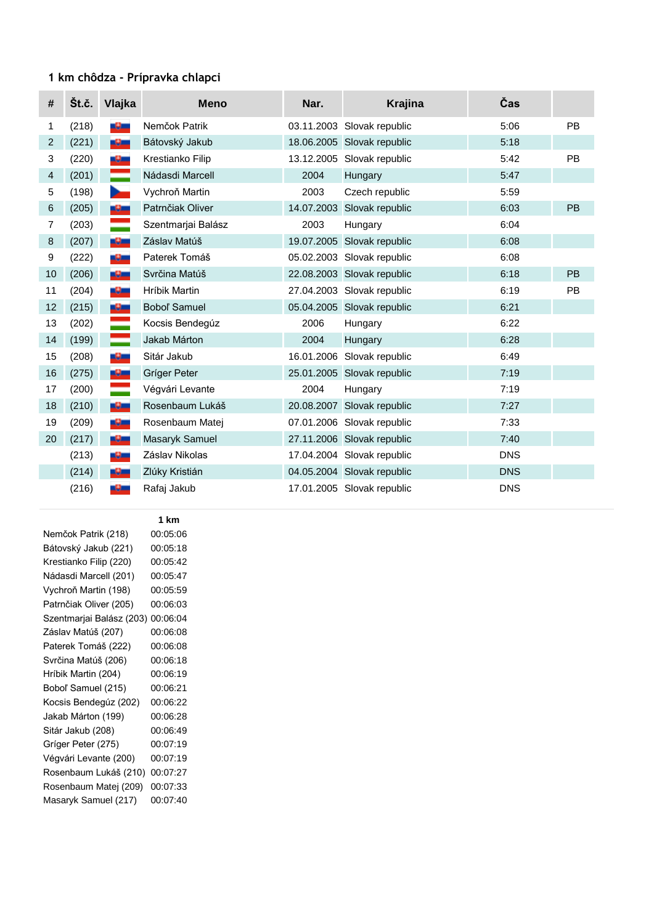# **1 km chôdza - Prípravka chlapci**

| #  | Št.č. | Vlajka             | <b>Meno</b>        | Nar.       | Krajina                    | Čas        |           |
|----|-------|--------------------|--------------------|------------|----------------------------|------------|-----------|
| 1  | (218) | -9-                | Nemčok Patrik      | 03.11.2003 | Slovak republic            | 5:06       | <b>PB</b> |
| 2  | (221) | -9-                | Bátovský Jakub     | 18.06.2005 | Slovak republic            | 5:18       |           |
| 3  | (220) | -9-                | Krestianko Filip   | 13.12.2005 | Slovak republic            | 5:42       | <b>PB</b> |
| 4  | (201) |                    | Nádasdi Marcell    | 2004       | Hungary                    | 5:47       |           |
| 5  | (198) | <b>Designation</b> | Vychroň Martin     | 2003       | Czech republic             | 5:59       |           |
| 6  | (205) | -9-                | Patrnčiak Oliver   | 14.07.2003 | Slovak republic            | 6:03       | PB        |
| 7  | (203) |                    | Szentmarjai Balász | 2003       | Hungary                    | 6:04       |           |
| 8  | (207) | -9-                | Záslav Matúš       | 19.07.2005 | Slovak republic            | 6:08       |           |
| 9  | (222) | -9-                | Paterek Tomáš      | 05.02.2003 | Slovak republic            | 6:08       |           |
| 10 | (206) | -9-                | Svrčina Matúš      | 22.08.2003 | Slovak republic            | 6:18       | PB        |
| 11 | (204) | -9-                | Hríbik Martin      | 27.04.2003 | Slovak republic            | 6:19       | PB        |
| 12 | (215) | -9-                | Bobol' Samuel      |            | 05.04.2005 Slovak republic | 6:21       |           |
| 13 | (202) |                    | Kocsis Bendegúz    | 2006       | Hungary                    | 6:22       |           |
| 14 | (199) |                    | Jakab Márton       | 2004       | Hungary                    | 6:28       |           |
| 15 | (208) | -9-                | Sitár Jakub        | 16.01.2006 | Slovak republic            | 6:49       |           |
| 16 | (275) | -9-                | Gríger Peter       |            | 25.01.2005 Slovak republic | 7:19       |           |
| 17 | (200) |                    | Végvári Levante    | 2004       | Hungary                    | 7:19       |           |
| 18 | (210) | -9-                | Rosenbaum Lukáš    | 20.08.2007 | Slovak republic            | 7:27       |           |
| 19 | (209) | -9-                | Rosenbaum Matej    |            | 07.01.2006 Slovak republic | 7:33       |           |
| 20 | (217) | -9-                | Masaryk Samuel     |            | 27.11.2006 Slovak republic | 7:40       |           |
|    | (213) | -9-                | Záslav Nikolas     |            | 17.04.2004 Slovak republic | <b>DNS</b> |           |
|    | (214) | -9-                | Zlúky Kristián     |            | 04.05.2004 Slovak republic | <b>DNS</b> |           |
|    | (216) | -9-                | Rafaj Jakub        |            | 17.01.2005 Slovak republic | <b>DNS</b> |           |

**1 km**

| Nemčok Patrik (218)      | 00:05:06 |
|--------------------------|----------|
| Bátovský Jakub (221)     | 00:05:18 |
| Krestianko Filip (220)   | 00:05:42 |
| Nádasdi Marcell (201)    | 00:05:47 |
| Vychroň Martin (198)     | 00:05:59 |
| Patrnčiak Oliver (205)   | 00:06:03 |
| Szentmarjai Balász (203) | 00:06:04 |
| Záslav Matúš (207)       | 00:06:08 |
| Paterek Tomáš (222)      | 00:06:08 |
| Svrčina Matúš (206)      | 00:06:18 |
| Hríbik Martin (204)      | 00:06:19 |
| Boboľ Samuel (215)       | 00:06:21 |
| Kocsis Bendegúz (202)    | 00:06:22 |
| Jakab Márton (199)       | 00:06:28 |
| Sitár Jakub (208)        | 00:06:49 |
| Gríger Peter (275)       | 00:07:19 |
| Végvári Levante (200)    | 00:07:19 |
| Rosenbaum Lukáš (210)    | 00:07:27 |
| Rosenbaum Matej (209)    | 00:07:33 |
| Masaryk Samuel (217)     | 00:07:40 |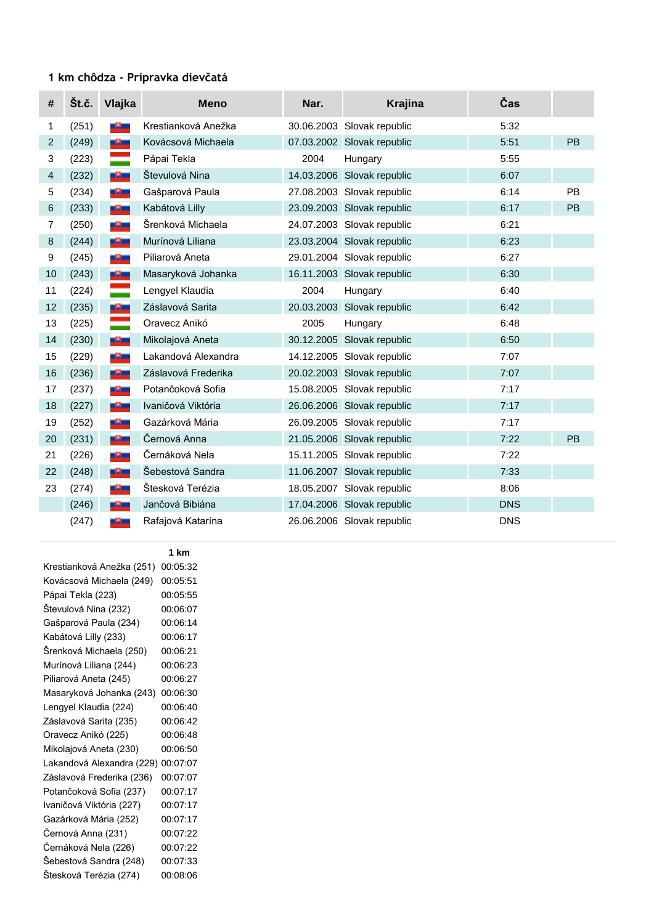# **1 km chôdza - Prípravka dievčatá**

| #  | Št.č. | Vlajka | <b>Meno</b>         | Nar. | <b>Krajina</b>             | Čas        |    |
|----|-------|--------|---------------------|------|----------------------------|------------|----|
| 1  | (251) | سائله  | Krestianková Anežka |      | 30.06.2003 Slovak republic | 5:32       |    |
| 2  | (249) | -9-    | Kovácsová Michaela  |      | 07.03.2002 Slovak republic | 5:51       | PB |
| 3  | (223) | =      | Pápai Tekla         | 2004 | Hungary                    | 5:55       |    |
| 4  | (232) | -9-    | Števulová Nina      |      | 14.03.2006 Slovak republic | 6:07       |    |
| 5  | (234) | -9-    | Gašparová Paula     |      | 27.08.2003 Slovak republic | 6:14       | PB |
| 6  | (233) | -9-    | Kabátová Lilly      |      | 23.09.2003 Slovak republic | 6:17       | PB |
| 7  | (250) | -9-    | Šrenková Michaela   |      | 24.07.2003 Slovak republic | 6:21       |    |
| 8  | (244) | -9-    | Murínová Liliana    |      | 23.03.2004 Slovak republic | 6:23       |    |
| 9  | (245) | -9-    | Piliarová Aneta     |      | 29.01.2004 Slovak republic | 6:27       |    |
| 10 | (243) | -9-    | Masaryková Johanka  |      | 16.11.2003 Slovak republic | 6:30       |    |
| 11 | (224) |        | Lengyel Klaudia     | 2004 | Hungary                    | 6:40       |    |
| 12 | (235) | -9-    | Záslavová Sarita    |      | 20.03.2003 Slovak republic | 6:42       |    |
| 13 | (225) | =      | Oravecz Anikó       | 2005 | Hungary                    | 6:48       |    |
| 14 | (230) | -9-    | Mikolajová Aneta    |      | 30.12.2005 Slovak republic | 6:50       |    |
| 15 | (229) | -9-    | Lakandová Alexandra |      | 14.12.2005 Slovak republic | 7:07       |    |
| 16 | (236) | -9-    | Záslavová Frederika |      | 20.02.2003 Slovak republic | 7:07       |    |
| 17 | (237) | -9-    | Potančoková Sofia   |      | 15.08.2005 Slovak republic | 7:17       |    |
| 18 | (227) | -9-    | Ivaničová Viktória  |      | 26.06.2006 Slovak republic | 7:17       |    |
| 19 | (252) | -9-    | Gazárková Mária     |      | 26.09.2005 Slovak republic | 7:17       |    |
| 20 | (231) | -9-    | Černová Anna        |      | 21.05.2006 Slovak republic | 7:22       | PB |
| 21 | (226) | -9-    | Černáková Nela      |      | 15.11.2005 Slovak republic | 7:22       |    |
| 22 | (248) | -9-    | Šebestová Sandra    |      | 11.06.2007 Slovak republic | 7:33       |    |
| 23 | (274) | -9-    | Štesková Terézia    |      | 18.05.2007 Slovak republic | 8:06       |    |
|    | (246) | -9-    | Jančová Bibiána     |      | 17.04.2006 Slovak republic | <b>DNS</b> |    |
|    | (247) | -9-    | Rafajová Katarína   |      | 26.06.2006 Slovak republic | <b>DNS</b> |    |

|                           | 1 km     |
|---------------------------|----------|
| Krestianková Anežka (251) | 00:05:32 |
| Kovácsová Michaela (249)  | 00:05:51 |
| Pápai Tekla (223)         | 00:05:55 |
| Stevulová Nina (232)      | 00:06:07 |
| Gašparová Paula (234)     | 00:06:14 |
| Kabátová Lilly (233)      | 00:06:17 |
| Šrenková Michaela (250)   | 00:06:21 |
| Murínová Liliana (244)    | 00:06:23 |
| Piliarová Aneta (245)     | 00:06:27 |
| Masaryková Johanka (243)  | 00:06:30 |
| Lengyel Klaudia (224)     | 00:06:40 |
| Záslavová Sarita (235)    | 00:06:42 |
| Oravecz Anikó (225)       | 00:06:48 |
| Mikolajová Aneta (230)    | 00:06:50 |
| Lakandová Alexandra (229) | 00:07:07 |
| Záslavová Frederika (236) | 00:07:07 |
| Potančoková Sofia (237)   | 00:07:17 |
| Ivaničová Viktória (227)  | 00:07:17 |
| Gazárková Mária (252)     | 00:07:17 |
| Černová Anna (231)        | 00:07:22 |
| Černáková Nela (226)      | 00:07:22 |
| Šebestová Sandra (248)    | 00:07:33 |
| Štesková Terézia (274)    | 00:08:06 |
|                           |          |